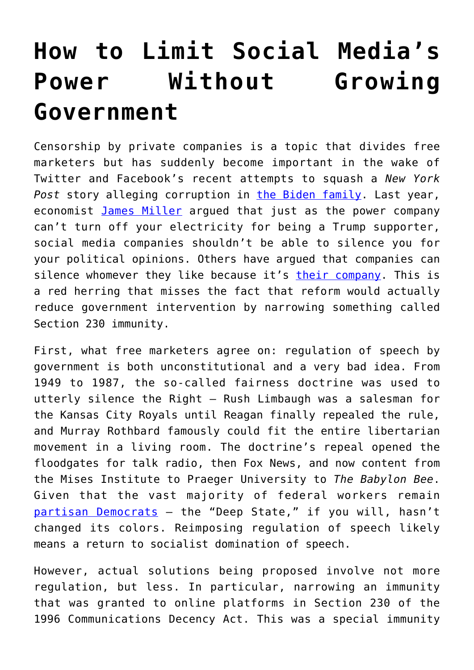## **[How to Limit Social Media's](https://intellectualtakeout.org/2020/10/how-to-limit-social-medias-power-without-growing-government/) [Power Without Growing](https://intellectualtakeout.org/2020/10/how-to-limit-social-medias-power-without-growing-government/) [Government](https://intellectualtakeout.org/2020/10/how-to-limit-social-medias-power-without-growing-government/)**

Censorship by private companies is a topic that divides free marketers but has suddenly become important in the wake of Twitter and Facebook's recent attempts to squash a *New York* Post story alleging corruption in [the Biden family](https://news.yahoo.com/senate-hearing-facebook-twitter-delayed-121917193.html). Last year, economist [James Miller](https://quillette.com/2019/06/06/against-big-tech-viewpoint-discrimination/?fbclid=IwAR3Fg7N4t5Qxxl44KU4umM-VrzcOh98PQlMq_xOzXtxR6Dntvm7x6wBX_EU) argued that just as the power company can't turn off your electricity for being a Trump supporter, social media companies shouldn't be able to silence you for your political opinions. Others have argued that companies can silence whomever they like because it's [their company.](https://www.brookings.edu/blog/techtank/2018/09/21/regulating-free-speech-on-social-media-is-dangerous-and-futile/) This is a red herring that misses the fact that reform would actually reduce government intervention by narrowing something called Section 230 immunity.

First, what free marketers agree on: regulation of speech by government is both unconstitutional and a very bad idea. From 1949 to 1987, the so-called fairness doctrine was used to utterly silence the Right – Rush Limbaugh was a salesman for the Kansas City Royals until Reagan finally repealed the rule, and Murray Rothbard famously could fit the entire libertarian movement in a living room. The doctrine's repeal opened the floodgates for talk radio, then Fox News, and now content from the Mises Institute to Praeger University to *The Babylon Bee*. Given that the vast majority of federal workers remain [partisan Democrats](https://www.fedsmith.com/2016/12/21/tallying-political-donations-from-federal-employees-and-unions/) – the "Deep State," if you will, hasn't changed its colors. Reimposing regulation of speech likely means a return to socialist domination of speech.

However, actual solutions being proposed involve not more regulation, but less. In particular, narrowing an immunity that was granted to online platforms in Section 230 of the 1996 Communications Decency Act. This was a special immunity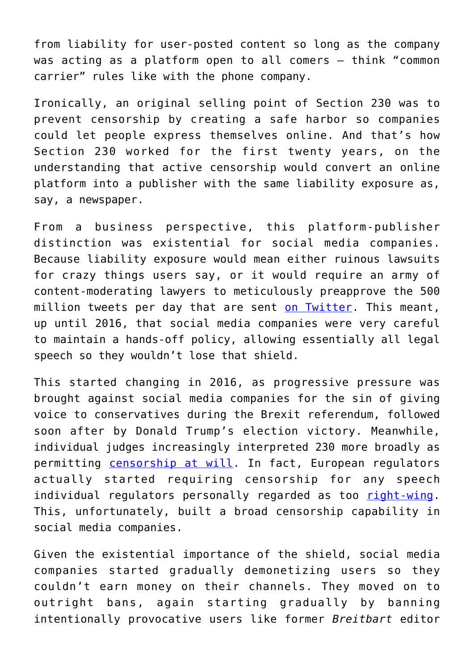from liability for user-posted content so long as the company was acting as a platform open to all comers – think "common carrier" rules like with the phone company.

Ironically, an original selling point of Section 230 was to prevent censorship by creating a safe harbor so companies could let people express themselves online. And that's how Section 230 worked for the first twenty years, on the understanding that active censorship would convert an online platform into a publisher with the same liability exposure as, say, a newspaper.

From a business perspective, this platform-publisher distinction was existential for social media companies. Because liability exposure would mean either ruinous lawsuits for crazy things users say, or it would require an army of content-moderating lawyers to meticulously preapprove the 500 million tweets per day that are sent [on Twitter.](https://www.internetlivestats.com/twitter-statistics/) This meant, up until 2016, that social media companies were very careful to maintain a hands-off policy, allowing essentially all legal speech so they wouldn't lose that shield.

This started changing in 2016, as progressive pressure was brought against social media companies for the sin of giving voice to conservatives during the Brexit referendum, followed soon after by Donald Trump's election victory. Meanwhile, individual judges increasingly interpreted 230 more broadly as permitting [censorship at will.](https://www.nationalreview.com/news/clarence-thomas-suggests-section-230-immunities-applied-too-broadly-to-tech-companies/) In fact, European regulators actually started requiring censorship for any speech individual regulators personally regarded as too [right-wing.](https://ec.europa.eu/commission/presscorner/detail/en/qanda_20_1135) This, unfortunately, built a broad censorship capability in social media companies.

Given the existential importance of the shield, social media companies started gradually demonetizing users so they couldn't earn money on their channels. They moved on to outright bans, again starting gradually by banning intentionally provocative users like former *Breitbart* editor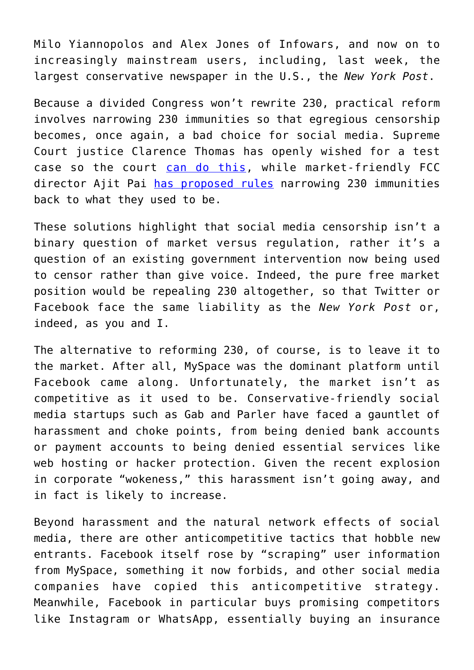Milo Yiannopolos and Alex Jones of Infowars, and now on to increasingly mainstream users, including, last week, the largest conservative newspaper in the U.S., the *New York Post*.

Because a divided Congress won't rewrite 230, practical reform involves narrowing 230 immunities so that egregious censorship becomes, once again, a bad choice for social media. Supreme Court justice Clarence Thomas has openly wished for a test case so the court [can do this](https://slate.com/technology/2020/10/clarence-thomas-section-230-cda-content-moderation.html), while market-friendly FCC director Ajit Pai [has proposed rules](https://docs.fcc.gov/public/attachments/DOC-367567A1.pdf) narrowing 230 immunities back to what they used to be.

These solutions highlight that social media censorship isn't a binary question of market versus regulation, rather it's a question of an existing government intervention now being used to censor rather than give voice. Indeed, the pure free market position would be repealing 230 altogether, so that Twitter or Facebook face the same liability as the *New York Post* or, indeed, as you and I.

The alternative to reforming 230, of course, is to leave it to the market. After all, MySpace was the dominant platform until Facebook came along. Unfortunately, the market isn't as competitive as it used to be. Conservative-friendly social media startups such as Gab and Parler have faced a gauntlet of harassment and choke points, from being denied bank accounts or payment accounts to being denied essential services like web hosting or hacker protection. Given the recent explosion in corporate "wokeness," this harassment isn't going away, and in fact is likely to increase.

Beyond harassment and the natural network effects of social media, there are other anticompetitive tactics that hobble new entrants. Facebook itself rose by "scraping" user information from MySpace, something it now forbids, and other social media companies have copied this anticompetitive strategy. Meanwhile, Facebook in particular buys promising competitors like Instagram or WhatsApp, essentially buying an insurance